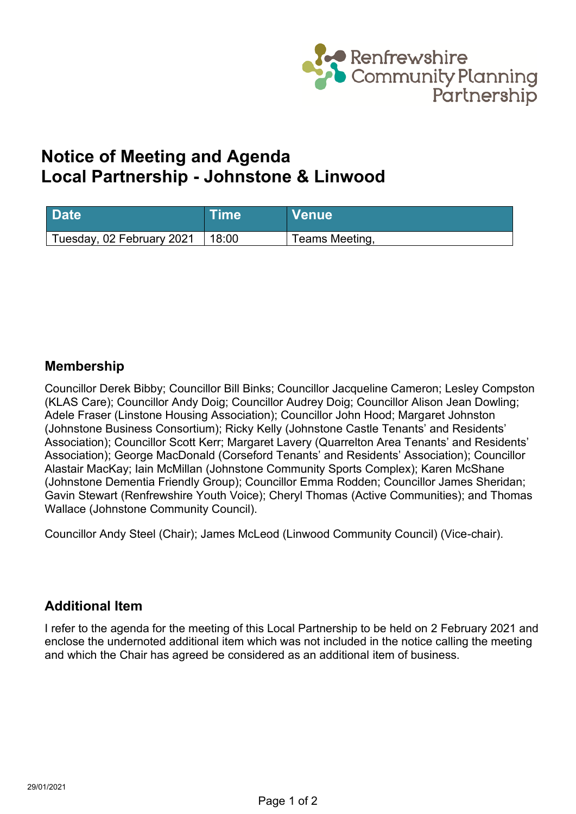

# **Notice of Meeting and Agenda Local Partnership - Johnstone & Linwood**

| <b>Date</b>               | Time  | <b>Venue</b>   |
|---------------------------|-------|----------------|
| Tuesday, 02 February 2021 | 18:00 | Teams Meeting, |

#### **Membership**

Councillor Derek Bibby; Councillor Bill Binks; Councillor Jacqueline Cameron; Lesley Compston (KLAS Care); Councillor Andy Doig; Councillor Audrey Doig; Councillor Alison Jean Dowling; Adele Fraser (Linstone Housing Association); Councillor John Hood; Margaret Johnston (Johnstone Business Consortium); Ricky Kelly (Johnstone Castle Tenants' and Residents' Association); Councillor Scott Kerr; Margaret Lavery (Quarrelton Area Tenants' and Residents' Association); George MacDonald (Corseford Tenants' and Residents' Association); Councillor Alastair MacKay; Iain McMillan (Johnstone Community Sports Complex); Karen McShane (Johnstone Dementia Friendly Group); Councillor Emma Rodden; Councillor James Sheridan; Gavin Stewart (Renfrewshire Youth Voice); Cheryl Thomas (Active Communities); and Thomas Wallace (Johnstone Community Council).

Councillor Andy Steel (Chair); James McLeod (Linwood Community Council) (Vice-chair).

### **Additional Item**

I refer to the agenda for the meeting of this Local Partnership to be held on 2 February 2021 and enclose the undernoted additional item which was not included in the notice calling the meeting and which the Chair has agreed be considered as an additional item of business.